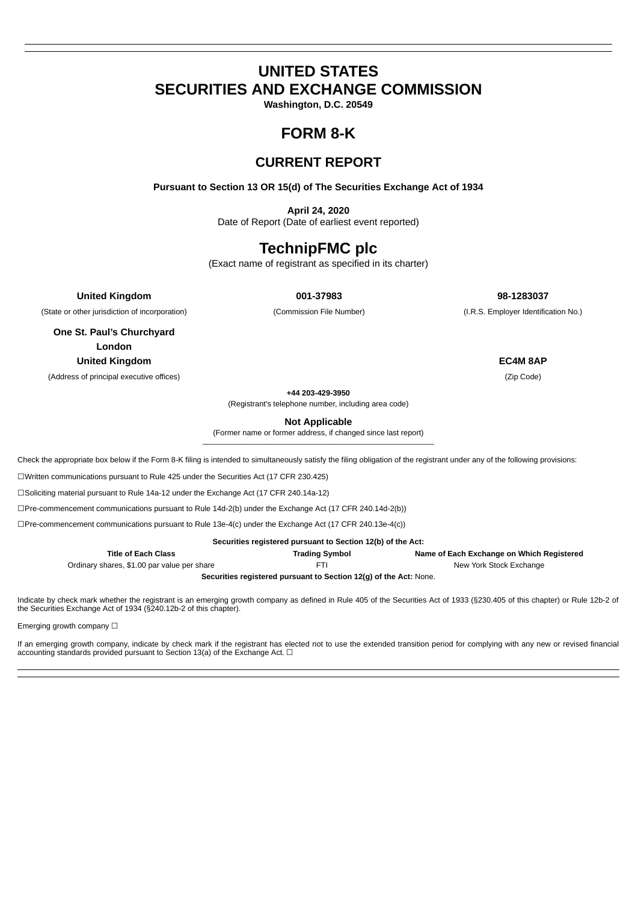# **UNITED STATES SECURITIES AND EXCHANGE COMMISSION**

**Washington, D.C. 20549**

# **FORM 8-K**

# **CURRENT REPORT**

**Pursuant to Section 13 OR 15(d) of The Securities Exchange Act of 1934**

**April 24, 2020** Date of Report (Date of earliest event reported)

# **TechnipFMC plc**

(Exact name of registrant as specified in its charter)

**United Kingdom 001-37983 98-1283037**

(State or other jurisdiction of incorporation) (Commission File Number) (I.R.S. Employer Identification No.)

**One St. Paul's Churchyard London United Kingdom EC4M 8AP**

(Address of principal executive offices) (Zip Code)

(Registrant's telephone number, including area code)

**Not Applicable**

(Former name or former address, if changed since last report)

Check the appropriate box below if the Form 8-K filing is intended to simultaneously satisfy the filing obligation of the registrant under any of the following provisions:

☐Written communications pursuant to Rule 425 under the Securities Act (17 CFR 230.425)

☐Soliciting material pursuant to Rule 14a-12 under the Exchange Act (17 CFR 240.14a-12)

☐Pre-commencement communications pursuant to Rule 14d-2(b) under the Exchange Act (17 CFR 240.14d-2(b))

☐Pre-commencement communications pursuant to Rule 13e-4(c) under the Exchange Act (17 CFR 240.13e-4(c))

| Securities registered pursuant to Section 12(b) of the Act: |                       |                                           |  |  |  |  |  |  |
|-------------------------------------------------------------|-----------------------|-------------------------------------------|--|--|--|--|--|--|
| <b>Title of Each Class</b>                                  | <b>Trading Symbol</b> | Name of Each Exchange on Which Registered |  |  |  |  |  |  |
| Ordinary shares, \$1.00 par value per share                 | FTI                   | New York Stock Exchange                   |  |  |  |  |  |  |
|                                                             |                       |                                           |  |  |  |  |  |  |

**Securities registered pursuant to Section 12(g) of the Act:** None.

Indicate by check mark whether the registrant is an emerging growth company as defined in Rule 405 of the Securities Act of 1933 (§230.405 of this chapter) or Rule 12b-2 of the Securities Exchange Act of 1934 (§240.12b-2 of this chapter).

Emerging growth company □

If an emerging growth company, indicate by check mark if the registrant has elected not to use the extended transition period for complying with any new or revised financial accounting standards provided pursuant to Section 13(a) of the Exchange Act.  $\square$ 

**+44 203-429-3950**

 $\mathcal{L}_\mathcal{L} = \{ \mathcal{L}_\mathcal{L} = \{ \mathcal{L}_\mathcal{L} = \{ \mathcal{L}_\mathcal{L} = \{ \mathcal{L}_\mathcal{L} = \{ \mathcal{L}_\mathcal{L} = \{ \mathcal{L}_\mathcal{L} = \{ \mathcal{L}_\mathcal{L} = \{ \mathcal{L}_\mathcal{L} = \{ \mathcal{L}_\mathcal{L} = \{ \mathcal{L}_\mathcal{L} = \{ \mathcal{L}_\mathcal{L} = \{ \mathcal{L}_\mathcal{L} = \{ \mathcal{L}_\mathcal{L} = \{ \mathcal{L}_\mathcal{$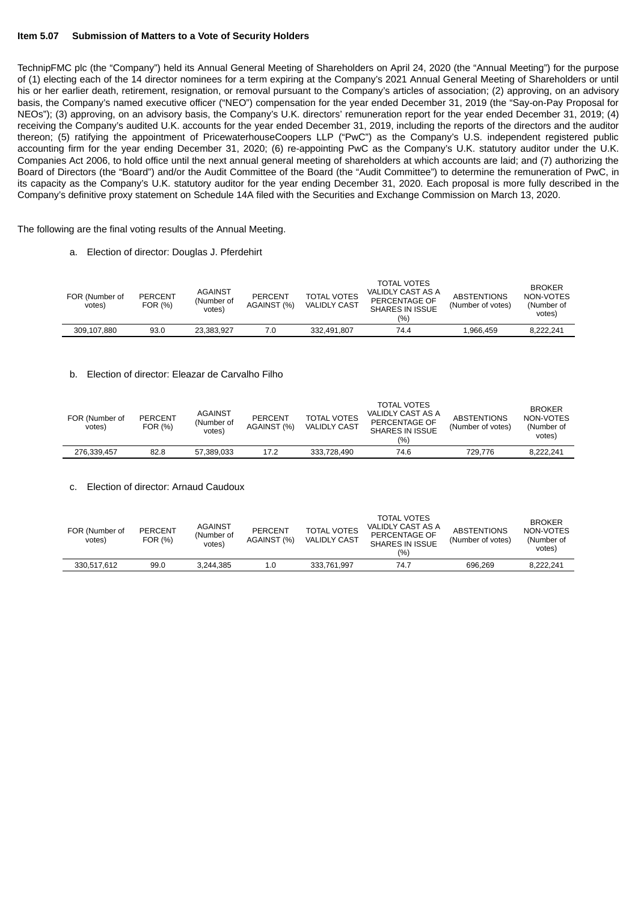#### **Item 5.07 Submission of Matters to a Vote of Security Holders**

TechnipFMC plc (the "Company") held its Annual General Meeting of Shareholders on April 24, 2020 (the "Annual Meeting") for the purpose of (1) electing each of the 14 director nominees for a term expiring at the Company's 2021 Annual General Meeting of Shareholders or until his or her earlier death, retirement, resignation, or removal pursuant to the Company's articles of association; (2) approving, on an advisory basis, the Company's named executive officer ("NEO") compensation for the year ended December 31, 2019 (the "Say-on-Pay Proposal for NEOs"); (3) approving, on an advisory basis, the Company's U.K. directors' remuneration report for the year ended December 31, 2019; (4) receiving the Company's audited U.K. accounts for the year ended December 31, 2019, including the reports of the directors and the auditor thereon; (5) ratifying the appointment of PricewaterhouseCoopers LLP ("PwC") as the Company's U.S. independent registered public accounting firm for the year ending December 31, 2020; (6) re-appointing PwC as the Company's U.K. statutory auditor under the U.K. Companies Act 2006, to hold office until the next annual general meeting of shareholders at which accounts are laid; and (7) authorizing the Board of Directors (the "Board") and/or the Audit Committee of the Board (the "Audit Committee") to determine the remuneration of PwC, in its capacity as the Company's U.K. statutory auditor for the year ending December 31, 2020. Each proposal is more fully described in the Company's definitive proxy statement on Schedule 14A filed with the Securities and Exchange Commission on March 13, 2020.

The following are the final voting results of the Annual Meeting.

a. Election of director: Douglas J. Pferdehirt

| FOR (Number of<br>votes) | <b>PERCENT</b><br>FOR (%) | <b>AGAINST</b><br>(Number of<br>votes) | <b>PERCENT</b><br>AGAINST (%) | <b>TOTAL VOTES</b><br><b>VALIDLY CAST</b> | <b>TOTAL VOTES</b><br>VALIDLY CAST AS A<br>PERCENTAGE OF<br>SHARES IN ISSUE<br>(%) | <b>ABSTENTIONS</b><br>(Number of votes) | <b>BROKER</b><br>NON-VOTES<br>(Number of<br>votes) |
|--------------------------|---------------------------|----------------------------------------|-------------------------------|-------------------------------------------|------------------------------------------------------------------------------------|-----------------------------------------|----------------------------------------------------|
| 309.107.880              | 93.0                      | 23.383.927                             | 7.0                           | 332.491.807                               | 74.4                                                                               | 1.966.459                               | 8.222.241                                          |

#### b. Election of director: Eleazar de Carvalho Filho

| FOR (Number of<br>votes) | <b>PERCENT</b><br>FOR (%) | <b>AGAINST</b><br>(Number of<br>votes) | <b>PERCENT</b><br>AGAINST (%) | <b>TOTAL VOTES</b><br><b>VALIDLY CAST</b> | <b>TOTAL VOTES</b><br>VALIDLY CAST AS A<br>PERCENTAGE OF<br>SHARES IN ISSUE<br>(%) | <b>ABSTENTIONS</b><br>(Number of votes) | <b>BROKER</b><br>NON-VOTES<br>(Number of<br>votes) |
|--------------------------|---------------------------|----------------------------------------|-------------------------------|-------------------------------------------|------------------------------------------------------------------------------------|-----------------------------------------|----------------------------------------------------|
| 276.339.457              | 82.8                      | 57.389.033                             | 17.2                          | 333.728.490                               | 74.6                                                                               | 729.776                                 | 8.222.241                                          |

#### c. Election of director: Arnaud Caudoux

| FOR (Number of<br>votes) | <b>PERCENT</b><br>FOR (%) | <b>AGAINST</b><br>(Number of<br>votes) | <b>PERCENT</b><br>AGAINST (%) | <b>TOTAL VOTES</b><br><b>VALIDLY CAST</b> | <b>TOTAL VOTES</b><br>VALIDLY CAST AS A<br>PERCENTAGE OF<br>SHARES IN ISSUE<br>(%) | <b>ABSTENTIONS</b><br>(Number of votes) | <b>BROKER</b><br>NON-VOTES<br>(Number of<br>votes) |
|--------------------------|---------------------------|----------------------------------------|-------------------------------|-------------------------------------------|------------------------------------------------------------------------------------|-----------------------------------------|----------------------------------------------------|
| 330.517.612              | 99.0                      | 3.244.385                              | 1.0                           | 333.761.997                               | 74.7                                                                               | 696.269                                 | 8,222,241                                          |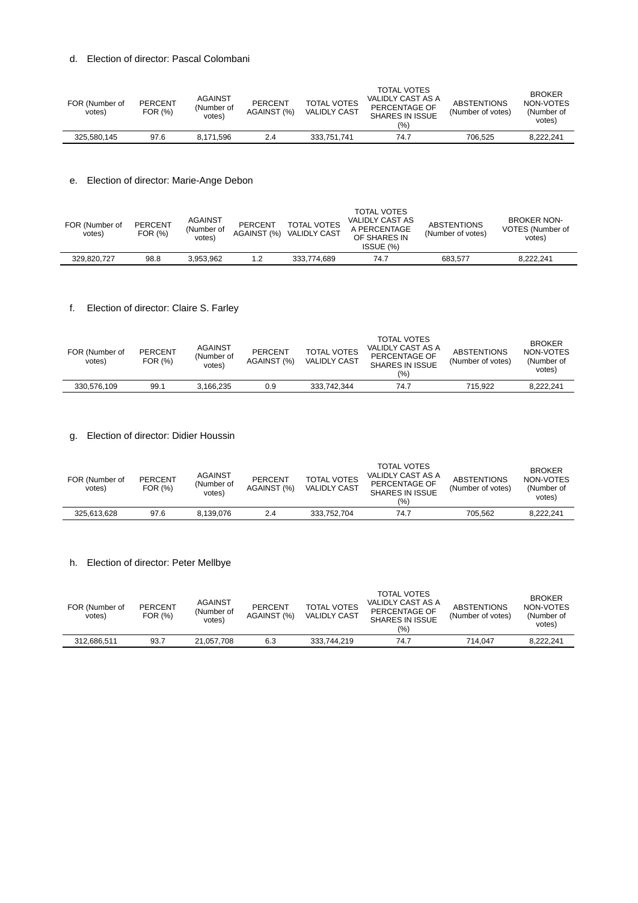### d. Election of director: Pascal Colombani

| FOR (Number of<br>votes) | <b>PERCENT</b><br>FOR (%) | <b>AGAINST</b><br>(Number of<br>votes) | <b>PERCENT</b><br>AGAINST (%) | <b>TOTAL VOTES</b><br><b>VALIDLY CAST</b> | <b>TOTAL VOTES</b><br>VALIDLY CAST AS A<br>PERCENTAGE OF<br>SHARES IN ISSUE<br>(96) | <b>ABSTENTIONS</b><br>(Number of votes) | <b>BROKER</b><br>NON-VOTES<br>(Number of<br>votes) |
|--------------------------|---------------------------|----------------------------------------|-------------------------------|-------------------------------------------|-------------------------------------------------------------------------------------|-----------------------------------------|----------------------------------------------------|
| 325.580.145              | 97.6                      | 8.171.596                              | 2.4                           | 333.751.741                               | 74.7                                                                                | 706.525                                 | 8.222.241                                          |
|                          |                           |                                        |                               |                                           |                                                                                     |                                         |                                                    |

### e. Election of director: Marie-Ange Debon

| FOR (Number of<br>votes) | <b>PERCENT</b><br>FOR (%) | <b>AGAINST</b><br>(Number of<br>votes) | PERCENT<br>AGAINST (%) | <b>TOTAL VOTES</b><br><b>VALIDLY CAST</b> | <b>TOTAL VOTES</b><br>VALIDLY CAST AS<br>A PERCENTAGE<br>OF SHARES IN<br>ISSUE (%) | <b>ABSTENTIONS</b><br>(Number of votes) | <b>BROKER NON-</b><br>VOTES (Number of<br>votes) |
|--------------------------|---------------------------|----------------------------------------|------------------------|-------------------------------------------|------------------------------------------------------------------------------------|-----------------------------------------|--------------------------------------------------|
| 329.820.727              | 98.8                      | 3.953.962                              | 1.2                    | 333.774.689                               | 74.7                                                                               | 683.577                                 | 8.222.241                                        |
|                          |                           |                                        |                        |                                           |                                                                                    |                                         |                                                  |

# f. Election of director: Claire S. Farley

| FOR (Number of<br>votes) | <b>PERCENT</b><br>FOR (%) | <b>AGAINST</b><br>(Number of<br>votes) | <b>PERCENT</b><br>AGAINST (%) | <b>TOTAL VOTES</b><br><b>VALIDLY CAST</b> | <b>TOTAL VOTES</b><br>VALIDLY CAST AS A<br>PERCENTAGE OF<br>SHARES IN ISSUE<br>(%) | <b>ABSTENTIONS</b><br>(Number of votes) | <b>BROKER</b><br>NON-VOTES<br>(Number of<br>votes) |
|--------------------------|---------------------------|----------------------------------------|-------------------------------|-------------------------------------------|------------------------------------------------------------------------------------|-----------------------------------------|----------------------------------------------------|
| 330.576.109              | 99.1                      | 3.166.235                              | 0.9                           | 333.742.344                               | 74.7                                                                               | 715.922                                 | 8.222.241                                          |

### g. Election of director: Didier Houssin

| FOR (Number of<br>votes) | <b>PERCENT</b><br>FOR (%) | <b>AGAINST</b><br>(Number of<br>votes) | <b>PERCENT</b><br>AGAINST (%) | <b>TOTAL VOTES</b><br><b>VALIDLY CAST</b> | <b>TOTAL VOTES</b><br>VALIDLY CAST AS A<br>PERCENTAGE OF<br>SHARES IN ISSUE<br>(%) | <b>ABSTENTIONS</b><br>(Number of votes) | <b>BROKER</b><br>NON-VOTES<br>(Number of<br>votes) |
|--------------------------|---------------------------|----------------------------------------|-------------------------------|-------------------------------------------|------------------------------------------------------------------------------------|-----------------------------------------|----------------------------------------------------|
| 325.613.628              | 97.6                      | 8.139.076                              | 2.4                           | 333.752.704                               | 74.7                                                                               | 705.562                                 | 8.222.241                                          |

# h. Election of director: Peter Mellbye

| FOR (Number of<br>votes) | <b>PERCENT</b><br>FOR (%) | <b>AGAINST</b><br>(Number of<br>votes) | <b>PERCENT</b><br>AGAINST (%) | <b>TOTAL VOTES</b><br><b>VALIDLY CAST</b> | <b>TOTAL VOTES</b><br>VALIDLY CAST AS A<br>PERCENTAGE OF<br><b>SHARES IN ISSUE</b><br>(%) | <b>ABSTENTIONS</b><br>(Number of votes) | <b>BROKER</b><br>NON-VOTES<br>(Number of<br>votes) |
|--------------------------|---------------------------|----------------------------------------|-------------------------------|-------------------------------------------|-------------------------------------------------------------------------------------------|-----------------------------------------|----------------------------------------------------|
| 312.686.511              | 93.7                      | 21.057.708                             | 6.3                           | 333.744.219                               | 74.7                                                                                      | 714.047                                 | 8.222.241                                          |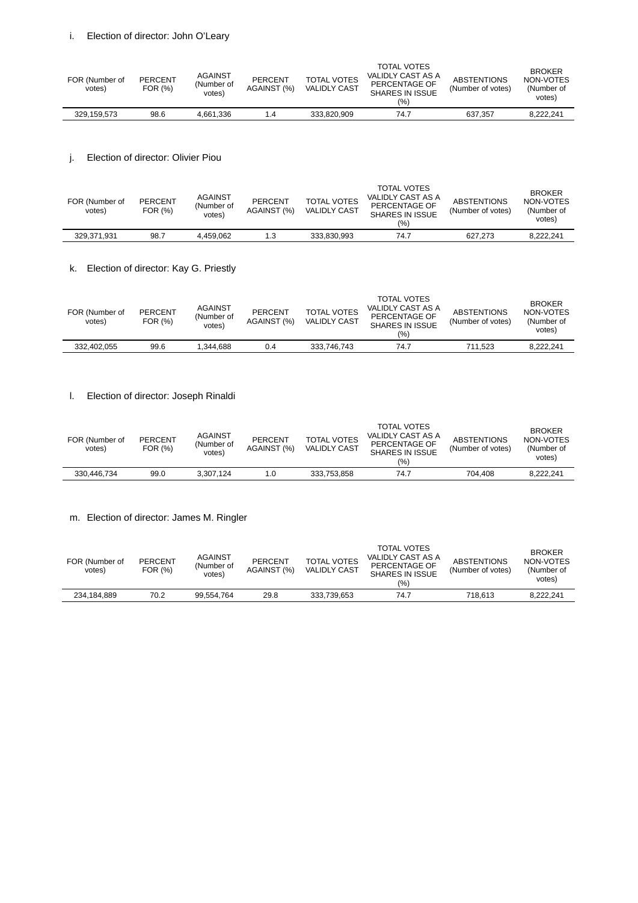| FOR (Number of<br>votes) | <b>PERCENT</b><br>FOR (%) | <b>AGAINST</b><br>(Number of<br>votes) | <b>PERCENT</b><br>AGAINST (%) | <b>TOTAL VOTES</b><br><b>VALIDLY CAST</b> | <b>TOTAL VOTES</b><br>VALIDLY CAST AS A<br>PERCENTAGE OF<br>SHARES IN ISSUE<br>(%) | <b>ABSTENTIONS</b><br>(Number of votes) | <b>BROKER</b><br>NON-VOTES<br>(Number of<br>votes) |
|--------------------------|---------------------------|----------------------------------------|-------------------------------|-------------------------------------------|------------------------------------------------------------------------------------|-----------------------------------------|----------------------------------------------------|
| 329.159.573              | 98.6                      | 4.661.336                              | 1.4                           | 333.820.909                               | 74.7                                                                               | 637.357                                 | 8.222.241                                          |
|                          |                           |                                        |                               |                                           |                                                                                    |                                         |                                                    |

# j. Election of director: Olivier Piou

| FOR (Number of<br>votes) | <b>PERCENT</b><br>FOR (%) | <b>AGAINST</b><br>(Number of<br>votes) | <b>PERCENT</b><br>AGAINST (%) | <b>TOTAL VOTES</b><br><b>VALIDLY CAST</b> | <b>TOTAL VOTES</b><br>VALIDLY CAST AS A<br>PERCENTAGE OF<br><b>SHARES IN ISSUE</b><br>(%) | <b>ABSTENTIONS</b><br>(Number of votes) | <b>BROKER</b><br>NON-VOTES<br>(Number of<br>votes) |
|--------------------------|---------------------------|----------------------------------------|-------------------------------|-------------------------------------------|-------------------------------------------------------------------------------------------|-----------------------------------------|----------------------------------------------------|
| 329.371.931              | 98.7                      | 4.459.062                              | 1.3                           | 333.830.993                               | 74.7                                                                                      | 627.273                                 | 8.222.241                                          |

# k. Election of director: Kay G. Priestly

| FOR (Number of<br>votes) | <b>PERCENT</b><br>FOR (%) | <b>AGAINST</b><br>(Number of<br>votes) | <b>PERCENT</b><br>AGAINST (%) | <b>TOTAL VOTES</b><br><b>VALIDLY CAST</b> | <b>TOTAL VOTES</b><br>VALIDLY CAST AS A<br>PERCENTAGE OF<br><b>SHARES IN ISSUE</b><br>(9/0) | <b>ABSTENTIONS</b><br>(Number of votes) | <b>BROKER</b><br>NON-VOTES<br>(Number of<br>votes) |
|--------------------------|---------------------------|----------------------------------------|-------------------------------|-------------------------------------------|---------------------------------------------------------------------------------------------|-----------------------------------------|----------------------------------------------------|
| 332.402.055              | 99.6                      | 1.344.688                              | 0.4                           | 333.746.743                               | 74.7                                                                                        | 711.523                                 | 8.222.241                                          |

### l. Election of director: Joseph Rinaldi

| FOR (Number of<br>votes) | <b>PERCENT</b><br>FOR (%) | <b>AGAINST</b><br>(Number of<br>votes) | <b>PERCENT</b><br>AGAINST (%) | <b>TOTAL VOTES</b><br><b>VALIDLY CAST</b> | <b>TOTAL VOTES</b><br>VALIDLY CAST AS A<br>PERCENTAGE OF<br><b>SHARES IN ISSUE</b><br>(9/0) | <b>ABSTENTIONS</b><br>(Number of votes) | <b>BROKER</b><br>NON-VOTES<br>(Number of<br>votes) |
|--------------------------|---------------------------|----------------------------------------|-------------------------------|-------------------------------------------|---------------------------------------------------------------------------------------------|-----------------------------------------|----------------------------------------------------|
| 330.446.734              | 99.0                      | 3.307.124                              | 1.0                           | 333.753.858                               | 74.7                                                                                        | 704.408                                 | 8.222.241                                          |

### m. Election of director: James M. Ringler

| FOR (Number of<br>votes) | <b>PERCENT</b><br>FOR (%) | <b>AGAINST</b><br>(Number of<br>votes) | <b>PERCENT</b><br>AGAINST (%) | <b>TOTAL VOTES</b><br><b>VALIDLY CAST</b> | <b>TOTAL VOTES</b><br>VALIDLY CAST AS A<br>PERCENTAGE OF<br>SHARES IN ISSUE<br>(%) | <b>ABSTENTIONS</b><br>(Number of votes) | <b>BROKER</b><br>NON-VOTES<br>(Number of<br>votes) |
|--------------------------|---------------------------|----------------------------------------|-------------------------------|-------------------------------------------|------------------------------------------------------------------------------------|-----------------------------------------|----------------------------------------------------|
| 234.184.889              | 70.2                      | 99.554.764                             | 29.8                          | 333.739.653                               | 74.7                                                                               | 718.613                                 | 8.222.241                                          |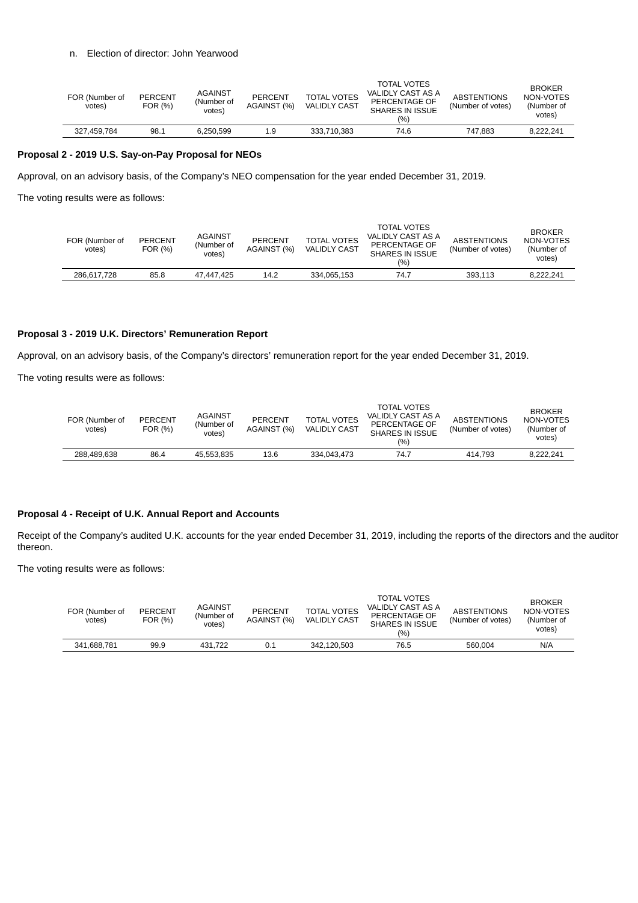### n. Election of director: John Yearwood

| FOR (Number of<br>votes) | <b>PERCENT</b><br>FOR (%) | <b>AGAINST</b><br>(Number of<br>votes) | PERCENT<br>AGAINST (%) | <b>TOTAL VOTES</b><br><b>VALIDLY CAST</b> | <b>TOTAL VOTES</b><br>VALIDLY CAST AS A<br>PERCENTAGE OF<br>SHARES IN ISSUE<br>(%) | <b>ABSTENTIONS</b><br>(Number of votes) | <b>BROKER</b><br>NON-VOTES<br>(Number of<br>votes) |
|--------------------------|---------------------------|----------------------------------------|------------------------|-------------------------------------------|------------------------------------------------------------------------------------|-----------------------------------------|----------------------------------------------------|
| 327,459,784              | 98.1                      | 6.250.599                              | 1.9                    | 333.710.383                               | 74.6                                                                               | 747.883                                 | 8.222.241                                          |

### **Proposal 2 - 2019 U.S. Say-on-Pay Proposal for NEOs**

Approval, on an advisory basis, of the Company's NEO compensation for the year ended December 31, 2019.

The voting results were as follows:

| FOR (Number of<br>votes) | <b>PERCENT</b><br>FOR (%) | <b>AGAINST</b><br>(Number of<br>votes) | <b>PERCENT</b><br>AGAINST (%) | <b>TOTAL VOTES</b><br><b>VALIDLY CAST</b> | <b>TOTAL VOTES</b><br>VALIDLY CAST AS A<br>PERCENTAGE OF<br>SHARES IN ISSUE<br>(9/0) | <b>ABSTENTIONS</b><br>(Number of votes) | <b>BROKER</b><br>NON-VOTES<br>(Number of<br>votes) |
|--------------------------|---------------------------|----------------------------------------|-------------------------------|-------------------------------------------|--------------------------------------------------------------------------------------|-----------------------------------------|----------------------------------------------------|
| 286,617,728              | 85.8                      | 47.447.425                             | 14.2                          | 334.065.153                               | 74.7                                                                                 | 393.113                                 | 8.222.241                                          |

### **Proposal 3 - 2019 U.K. Directors' Remuneration Report**

Approval, on an advisory basis, of the Company's directors' remuneration report for the year ended December 31, 2019.

The voting results were as follows:

| FOR (Number of<br>votes) | <b>PERCENT</b><br>FOR (%) | <b>AGAINST</b><br>(Number of<br>votes) | <b>PERCENT</b><br>AGAINST (%) | <b>TOTAL VOTES</b><br><b>VALIDLY CAST</b> | <b>TOTAL VOTES</b><br>VALIDLY CAST AS A<br>PERCENTAGE OF<br>SHARES IN ISSUE<br>(%) | <b>ABSTENTIONS</b><br>(Number of votes) | <b>BROKER</b><br>NON-VOTES<br>(Number of<br>votes) |
|--------------------------|---------------------------|----------------------------------------|-------------------------------|-------------------------------------------|------------------------------------------------------------------------------------|-----------------------------------------|----------------------------------------------------|
| 288.489.638              | 86.4                      | 45.553.835                             | 13.6                          | 334.043.473                               | 74.7                                                                               | 414.793                                 | 8.222.241                                          |

### **Proposal 4 - Receipt of U.K. Annual Report and Accounts**

Receipt of the Company's audited U.K. accounts for the year ended December 31, 2019, including the reports of the directors and the auditor thereon.

The voting results were as follows:

| FOR (Number of<br>votes) | <b>PERCENT</b><br>FOR (%) | <b>AGAINST</b><br>(Number of<br>votes) | <b>PERCENT</b><br>AGAINST (%) | <b>TOTAL VOTES</b><br><b>VALIDLY CAST</b> | <b>TOTAL VOTES</b><br>VALIDLY CAST AS A<br>PERCENTAGE OF<br><b>SHARES IN ISSUE</b><br>(%) | <b>ABSTENTIONS</b><br>(Number of votes) | <b>BROKER</b><br>NON-VOTES<br>(Number of<br>votes) |
|--------------------------|---------------------------|----------------------------------------|-------------------------------|-------------------------------------------|-------------------------------------------------------------------------------------------|-----------------------------------------|----------------------------------------------------|
| 341.688.781              | 99.9                      | 431.722                                | 0.1                           | 342.120.503                               | 76.5                                                                                      | 560.004                                 | N/A                                                |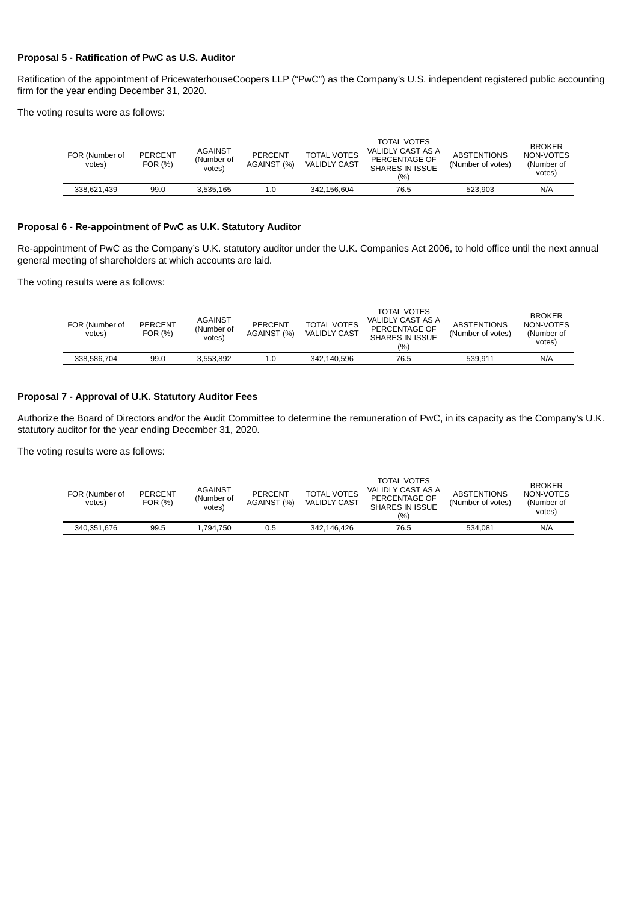### **Proposal 5 - Ratification of PwC as U.S. Auditor**

Ratification of the appointment of PricewaterhouseCoopers LLP ("PwC") as the Company's U.S. independent registered public accounting firm for the year ending December 31, 2020.

The voting results were as follows:

| FOR (Number of<br>votes) | <b>PERCENT</b><br>FOR (%) | <b>AGAINST</b><br>(Number of<br>votes) | <b>PERCENT</b><br>AGAINST (%) | <b>TOTAL VOTES</b><br><b>VALIDLY CAST</b> | TOTAL VOTES<br>VALIDLY CAST AS A<br>PERCENTAGE OF<br>SHARES IN ISSUE<br>(%) | <b>ABSTENTIONS</b><br>(Number of votes) | <b>BROKER</b><br>NON-VOTES<br>(Number of<br>votes) |
|--------------------------|---------------------------|----------------------------------------|-------------------------------|-------------------------------------------|-----------------------------------------------------------------------------|-----------------------------------------|----------------------------------------------------|
| 338.621.439              | 99.0                      | 3.535.165                              | 1.0                           | 342.156.604                               | 76.5                                                                        | 523.903                                 | N/A                                                |

### **Proposal 6 - Re-appointment of PwC as U.K. Statutory Auditor**

Re-appointment of PwC as the Company's U.K. statutory auditor under the U.K. Companies Act 2006, to hold office until the next annual general meeting of shareholders at which accounts are laid.

The voting results were as follows:

| FOR (Number of<br>votes) | <b>PERCENT</b><br>FOR (%) | <b>AGAINST</b><br>(Number of<br>votes) | <b>PERCENT</b><br>AGAINST (%) | <b>TOTAL VOTES</b><br><b>VALIDLY CAST</b> | TOTAL VOTES<br>VALIDLY CAST AS A<br>PERCENTAGE OF<br>SHARES IN ISSUE<br>(%) | <b>ABSTENTIONS</b><br>(Number of votes) | <b>BROKER</b><br>NON-VOTES<br>(Number of<br>votes) |
|--------------------------|---------------------------|----------------------------------------|-------------------------------|-------------------------------------------|-----------------------------------------------------------------------------|-----------------------------------------|----------------------------------------------------|
| 338.586.704              | 99.0                      | 3.553.892                              | 1.0                           | 342.140.596                               | 76.5                                                                        | 539.911                                 | N/A                                                |
|                          |                           |                                        |                               |                                           |                                                                             |                                         |                                                    |

### **Proposal 7 - Approval of U.K. Statutory Auditor Fees**

Authorize the Board of Directors and/or the Audit Committee to determine the remuneration of PwC, in its capacity as the Company's U.K. statutory auditor for the year ending December 31, 2020.

The voting results were as follows:

| FOR (Number of<br>votes) | <b>PERCENT</b><br>FOR (%) | <b>AGAINST</b><br>(Number of<br>votes) | <b>PERCENT</b><br>AGAINST (%) | <b>TOTAL VOTES</b><br><b>VALIDLY CAST</b> | <b>TOTAL VOTES</b><br>VALIDLY CAST AS A<br>PERCENTAGE OF<br>SHARES IN ISSUE<br>(%) | <b>ABSTENTIONS</b><br>(Number of votes) | <b>BROKER</b><br>NON-VOTES<br>(Number of<br>votes) |
|--------------------------|---------------------------|----------------------------------------|-------------------------------|-------------------------------------------|------------------------------------------------------------------------------------|-----------------------------------------|----------------------------------------------------|
| 340.351.676              | 99.5                      | 1.794.750                              | 0.5                           | 342.146.426                               | 76.5                                                                               | 534.081                                 | N/A                                                |